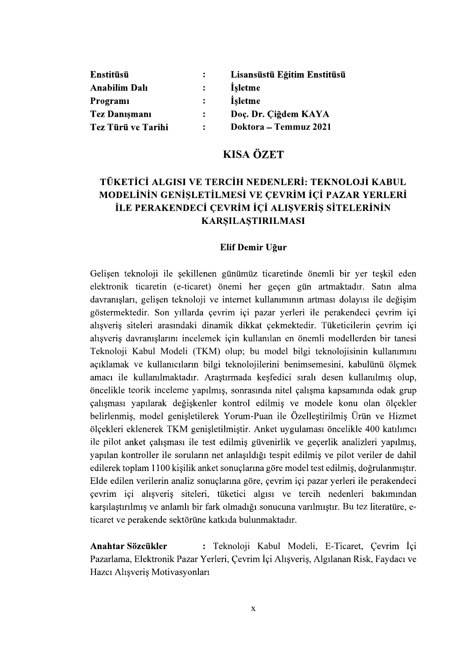| <b>Enstitüsü</b>     |                      | Lisansüstü Eğitim Enstitüsü |
|----------------------|----------------------|-----------------------------|
| <b>Anabilim Dalı</b> |                      | Isletme                     |
| Programi             |                      | <b>Isletme</b>              |
| <b>Tez Danismani</b> | $\ddot{\phantom{a}}$ | Doç. Dr. Çiğdem KAYA        |
| Tez Türü ve Tarihi   | $\ddot{\cdot}$       | Doktora – Temmuz 2021       |

## **KISA ÖZET**

# TÜKETİCİ ALGISI VE TERCİH NEDENLERİ: TEKNOLOJİ KABUL MODELİNİN GENİŞLETİLMESİ VE ÇEVRİM İÇİ PAZAR YERLERİ İLE PERAKENDECİ ÇEVRİM İÇİ ALIŞVERİŞ SİTELERİNİN **KARŞILAŞTIRILMASI**

#### Elif Demir Uğur

Gelişen teknoloji ile şekillenen günümüz ticaretinde önemli bir yer teşkil eden elektronik ticaretin (e-ticaret) önemi her geçen gün artmaktadır. Satın alma davranışları, gelişen teknoloji ve internet kullanımının artması dolayısı ile değişim göstermektedir. Son yıllarda çevrim içi pazar yerleri ile perakendeci çevrim içi alışveriş siteleri arasındaki dinamik dikkat çekmektedir. Tüketicilerin çevrim içi alışveriş davranışlarını incelemek için kullanılan en önemli modellerden bir tanesi Teknoloji Kabul Modeli (TKM) olup; bu model bilgi teknolojisinin kullanımını açıklamak ve kullanıcıların bilgi teknolojilerini benimsemesini, kabulünü ölçmek<br>amacı ile kullanılmaktadır. Araştırmada keşfedici sıralı desen kullanılmış olup,<br>öncelikle teorik inceleme yapılmış, sonrasında nitel çalışma ölçekleri eklenerek TKM genişletilmiştir. Anket uygulaması öncelikle 400 katılımcı ile pilot anket çalışması ile test edilmiş güvenirlik ve geçerlik analizleri yapılmış, yapılan kontroller ile soruların net anlaşıldığı tespit edilmiş ve pilot veriler de dahil edilerek toplam 1100 kişilik anket sonuçlarına göre model test edilmiş, doğrulanmıştır. Elde edilen verilerin analiz sonuçlarına göre, çevrim içi pazar yerleri ile perakendeci çevrim içi alışveriş siteleri, tüketici algısı ve tercih nedenleri bakımından karşılaştırılmış ve anlamlı bir fark olmadığı sonucuna varılmıştır. Bu tez literatüre, eticaret ve perakende sektörüne katkıda bulunmaktadır.

Anahtar Sözcükler : Teknoloji Kabul Modeli, E-Ticaret, Cevrim İçi Pazarlama, Elektronik Pazar Yerleri, Çevrim İçi Alışveriş, Algılanan Risk, Faydacı ve Hazcı Alışveriş Motivasyonları